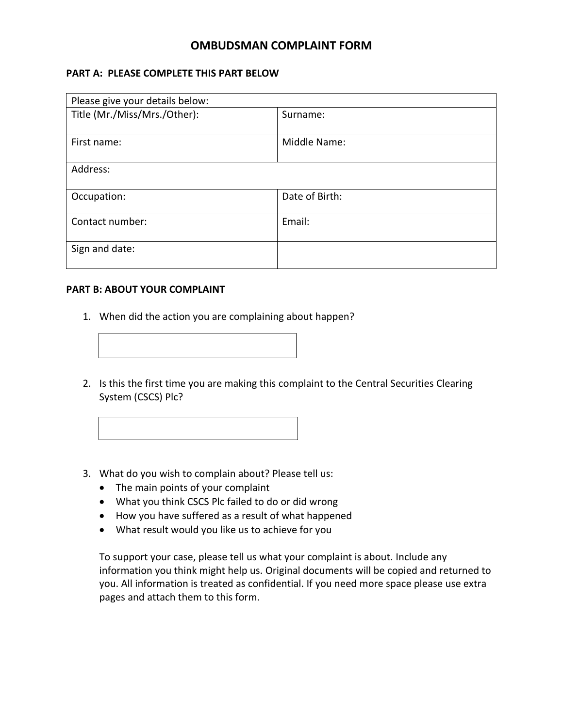## **OMBUDSMAN COMPLAINT FORM**

## **PART A: PLEASE COMPLETE THIS PART BELOW**

| Please give your details below: |                |
|---------------------------------|----------------|
| Title (Mr./Miss/Mrs./Other):    | Surname:       |
| First name:                     | Middle Name:   |
| Address:                        |                |
| Occupation:                     | Date of Birth: |
| Contact number:                 | Email:         |
| Sign and date:                  |                |

## **PART B: ABOUT YOUR COMPLAINT**

- 1. When did the action you are complaining about happen?
- 2. Is this the first time you are making this complaint to th[e Central Securities Clearing](https://www.cscsnigeriaplc.com/)  [System](https://www.cscsnigeriaplc.com/) (CSCS) Plc?
- 3. What do you wish to complain about? Please tell us:
	- The main points of your complaint
	- What you think CSCS Plc failed to do or did wrong
	- How you have suffered as a result of what happened
	- What result would you like us to achieve for you

To support your case, please tell us what your complaint is about. Include any information you think might help us. Original documents will be copied and returned to you. All information is treated as confidential. If you need more space please use extra pages and attach them to this form.